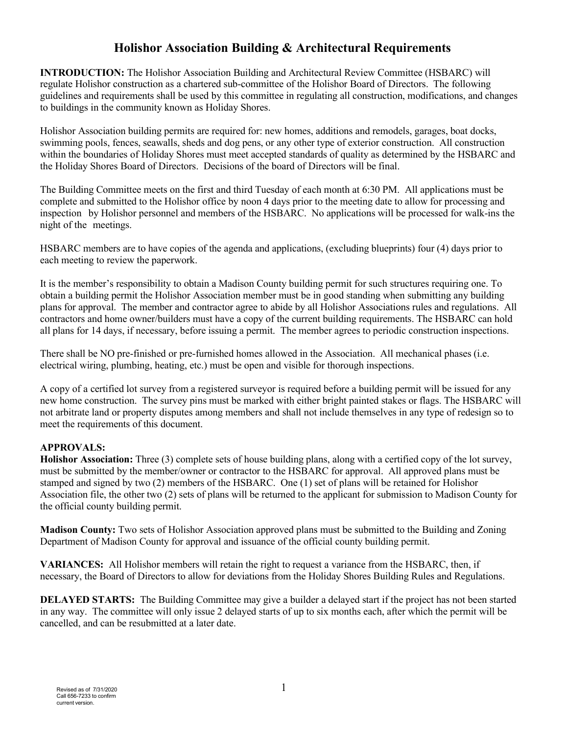# **Holishor Association Building & Architectural Requirements**

**INTRODUCTION:** The Holishor Association Building and Architectural Review Committee (HSBARC) will regulate Holishor construction as a chartered sub-committee of the Holishor Board of Directors. The following guidelines and requirements shall be used by this committee in regulating all construction, modifications, and changes to buildings in the community known as Holiday Shores.

Holishor Association building permits are required for: new homes, additions and remodels, garages, boat docks, swimming pools, fences, seawalls, sheds and dog pens, or any other type of exterior construction. All construction within the boundaries of Holiday Shores must meet accepted standards of quality as determined by the HSBARC and the Holiday Shores Board of Directors. Decisions of the board of Directors will be final.

The Building Committee meets on the first and third Tuesday of each month at 6:30 PM. All applications must be complete and submitted to the Holishor office by noon 4 days prior to the meeting date to allow for processing and inspection by Holishor personnel and members of the HSBARC. No applications will be processed for walk-ins the night of the meetings.

HSBARC members are to have copies of the agenda and applications, (excluding blueprints) four (4) days prior to each meeting to review the paperwork.

It is the member's responsibility to obtain a Madison County building permit for such structures requiring one. To obtain a building permit the Holishor Association member must be in good standing when submitting any building plans for approval. The member and contractor agree to abide by all Holishor Associations rules and regulations. All contractors and home owner/builders must have a copy of the current building requirements. The HSBARC can hold all plans for 14 days, if necessary, before issuing a permit. The member agrees to periodic construction inspections.

There shall be NO pre-finished or pre-furnished homes allowed in the Association. All mechanical phases (i.e. electrical wiring, plumbing, heating, etc.) must be open and visible for thorough inspections.

A copy of a certified lot survey from a registered surveyor is required before a building permit will be issued for any new home construction. The survey pins must be marked with either bright painted stakes or flags. The HSBARC will not arbitrate land or property disputes among members and shall not include themselves in any type of redesign so to meet the requirements of this document.

## **APPROVALS:**

**Holishor Association:** Three (3) complete sets of house building plans, along with a certified copy of the lot survey, must be submitted by the member/owner or contractor to the HSBARC for approval. All approved plans must be stamped and signed by two (2) members of the HSBARC. One (1) set of plans will be retained for Holishor Association file, the other two (2) sets of plans will be returned to the applicant for submission to Madison County for the official county building permit.

**Madison County:** Two sets of Holishor Association approved plans must be submitted to the Building and Zoning Department of Madison County for approval and issuance of the official county building permit.

**VARIANCES:** All Holishor members will retain the right to request a variance from the HSBARC, then, if necessary, the Board of Directors to allow for deviations from the Holiday Shores Building Rules and Regulations.

**DELAYED STARTS:** The Building Committee may give a builder a delayed start if the project has not been started in any way. The committee will only issue 2 delayed starts of up to six months each, after which the permit will be cancelled, and can be resubmitted at a later date.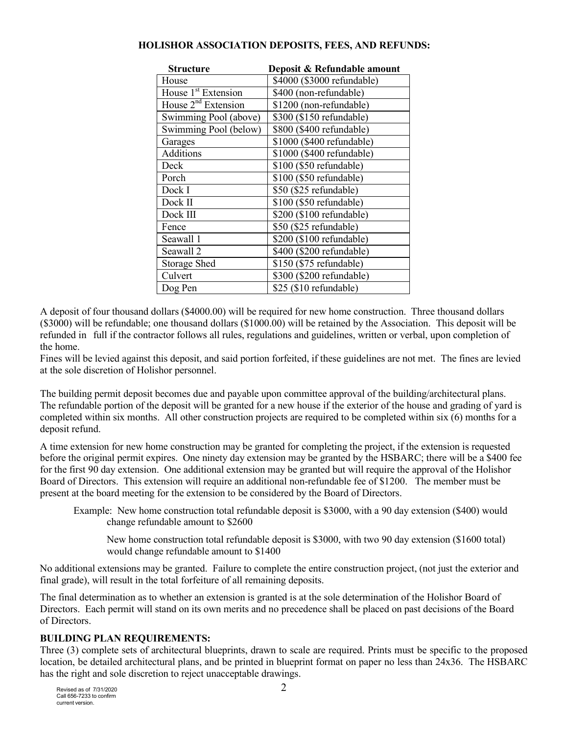| <b>Structure</b>                | Deposit & Refundable amount |
|---------------------------------|-----------------------------|
| House                           | \$4000 (\$3000 refundable)  |
| House 1 <sup>st</sup> Extension | \$400 (non-refundable)      |
| House $2^{nd}$ Extension        | \$1200 (non-refundable)     |
| Swimming Pool (above)           | \$300 (\$150 refundable)    |
| Swimming Pool (below)           | \$800 (\$400 refundable)    |
| Garages                         | \$1000 (\$400 refundable)   |
| Additions                       | \$1000 (\$400 refundable)   |
| Deck                            | \$100 (\$50 refundable)     |
| Porch                           | \$100 (\$50 refundable)     |
| Dock I                          | \$50 (\$25 refundable)      |
| Dock II                         | \$100 (\$50 refundable)     |
| Dock III                        | \$200 (\$100 refundable)    |
| Fence                           | \$50 (\$25 refundable)      |
| Seawall 1                       | \$200 (\$100 refundable)    |
| Seawall 2                       | \$400 (\$200 refundable)    |
| <b>Storage Shed</b>             | \$150 (\$75 refundable)     |
| Culvert                         | \$300 (\$200 refundable)    |
| Dog Pen                         | \$25 (\$10 refundable)      |

## **HOLISHOR ASSOCIATION DEPOSITS, FEES, AND REFUNDS:**

A deposit of four thousand dollars (\$4000.00) will be required for new home construction. Three thousand dollars (\$3000) will be refundable; one thousand dollars (\$1000.00) will be retained by the Association. This deposit will be refunded in full if the contractor follows all rules, regulations and guidelines, written or verbal, upon completion of the home.

Fines will be levied against this deposit, and said portion forfeited, if these guidelines are not met. The fines are levied at the sole discretion of Holishor personnel.

The building permit deposit becomes due and payable upon committee approval of the building/architectural plans. The refundable portion of the deposit will be granted for a new house if the exterior of the house and grading of yard is completed within six months. All other construction projects are required to be completed within six (6) months for a deposit refund.

A time extension for new home construction may be granted for completing the project, if the extension is requested before the original permit expires. One ninety day extension may be granted by the HSBARC; there will be a \$400 fee for the first 90 day extension. One additional extension may be granted but will require the approval of the Holishor Board of Directors. This extension will require an additional non-refundable fee of \$1200. The member must be present at the board meeting for the extension to be considered by the Board of Directors.

Example: New home construction total refundable deposit is \$3000, with a 90 day extension (\$400) would change refundable amount to \$2600

New home construction total refundable deposit is \$3000, with two 90 day extension (\$1600 total) would change refundable amount to \$1400

No additional extensions may be granted. Failure to complete the entire construction project, (not just the exterior and final grade), will result in the total forfeiture of all remaining deposits.

The final determination as to whether an extension is granted is at the sole determination of the Holishor Board of Directors. Each permit will stand on its own merits and no precedence shall be placed on past decisions of the Board of Directors.

## **BUILDING PLAN REQUIREMENTS:**

Three (3) complete sets of architectural blueprints, drawn to scale are required. Prints must be specific to the proposed location, be detailed architectural plans, and be printed in blueprint format on paper no less than 24x36. The HSBARC has the right and sole discretion to reject unacceptable drawings.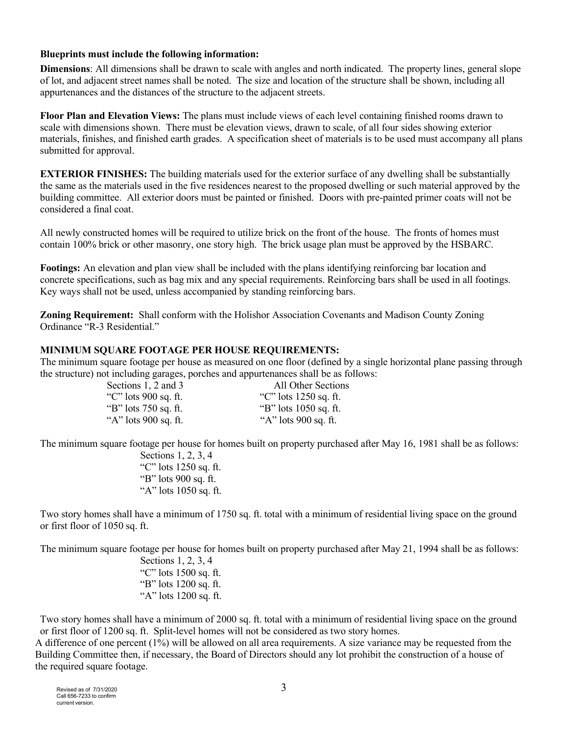#### **Blueprints must include the following information:**

**Dimensions**: All dimensions shall be drawn to scale with angles and north indicated. The property lines, general slope of lot, and adjacent street names shall be noted. The size and location of the structure shall be shown, including all appurtenances and the distances of the structure to the adjacent streets.

**Floor Plan and Elevation Views:** The plans must include views of each level containing finished rooms drawn to scale with dimensions shown. There must be elevation views, drawn to scale, of all four sides showing exterior materials, finishes, and finished earth grades. A specification sheet of materials is to be used must accompany all plans submitted for approval.

**EXTERIOR FINISHES:** The building materials used for the exterior surface of any dwelling shall be substantially the same as the materials used in the five residences nearest to the proposed dwelling or such material approved by the building committee. All exterior doors must be painted or finished. Doors with pre-painted primer coats will not be considered a final coat.

All newly constructed homes will be required to utilize brick on the front of the house. The fronts of homes must contain 100% brick or other masonry, one story high. The brick usage plan must be approved by the HSBARC.

**Footings:** An elevation and plan view shall be included with the plans identifying reinforcing bar location and concrete specifications, such as bag mix and any special requirements. Reinforcing bars shall be used in all footings. Key ways shall not be used, unless accompanied by standing reinforcing bars.

**Zoning Requirement:** Shall conform with the Holishor Association Covenants and Madison County Zoning Ordinance "R-3 Residential."

#### **MINIMUM SQUARE FOOTAGE PER HOUSE REQUIREMENTS:**

The minimum square footage per house as measured on one floor (defined by a single horizontal plane passing through the structure) not including garages, porches and appurtenances shall be as follows:

| Sections 1, 2 and 3  | All Other Sections      |
|----------------------|-------------------------|
| "C" lots 900 sq. ft. | "C" lots $1250$ sq. ft. |
| "B" lots 750 sq. ft. | "B" lots $1050$ sq. ft. |
| "A" lots 900 sq. ft. | "A" lots 900 sq. ft.    |

The minimum square footage per house for homes built on property purchased after May 16, 1981 shall be as follows:

Sections 1, 2, 3, 4 "C" lots 1250 sq. ft. "B" lots 900 sq. ft. "A" lots 1050 sq. ft.

Two story homes shall have a minimum of 1750 sq. ft. total with a minimum of residential living space on the ground or first floor of 1050 sq. ft.

The minimum square footage per house for homes built on property purchased after May 21, 1994 shall be as follows:

Sections 1, 2, 3, 4 "C" lots 1500 sq. ft. "B" lots 1200 sq. ft. "A" lots 1200 sq. ft.

Two story homes shall have a minimum of 2000 sq. ft. total with a minimum of residential living space on the ground or first floor of 1200 sq. ft. Split-level homes will not be considered as two story homes.

A difference of one percent (1%) will be allowed on all area requirements. A size variance may be requested from the Building Committee then, if necessary, the Board of Directors should any lot prohibit the construction of a house of the required square footage.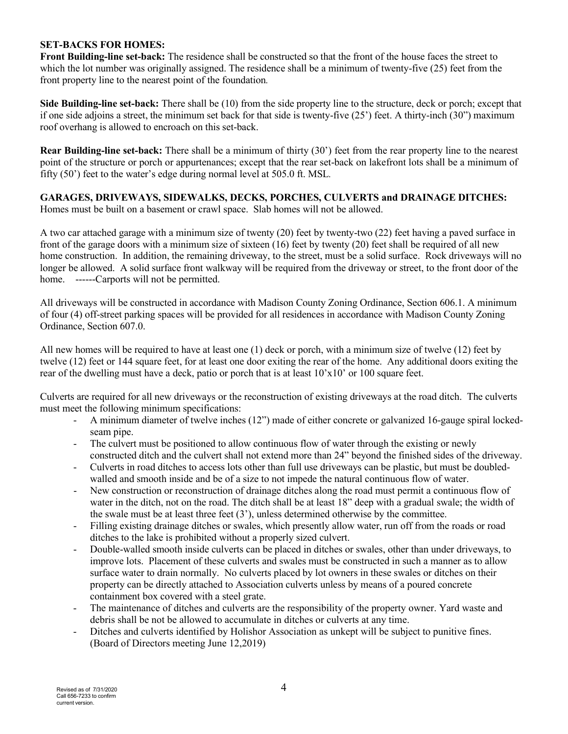#### **SET-BACKS FOR HOMES:**

**Front Building-line set-back:** The residence shall be constructed so that the front of the house faces the street to which the lot number was originally assigned. The residence shall be a minimum of twenty-five (25) feet from the front property line to the nearest point of the foundation*.*

**Side Building-line set-back:** There shall be (10) from the side property line to the structure, deck or porch; except that if one side adjoins a street, the minimum set back for that side is twenty-five (25') feet. A thirty-inch (30") maximum roof overhang is allowed to encroach on this set-back.

**Rear Building-line set-back:** There shall be a minimum of thirty (30') feet from the rear property line to the nearest point of the structure or porch or appurtenances; except that the rear set-back on lakefront lots shall be a minimum of fifty (50') feet to the water's edge during normal level at 505.0 ft. MSL*.*

**GARAGES, DRIVEWAYS, SIDEWALKS, DECKS, PORCHES, CULVERTS and DRAINAGE DITCHES:** Homes must be built on a basement or crawl space. Slab homes will not be allowed.

A two car attached garage with a minimum size of twenty (20) feet by twenty-two (22) feet having a paved surface in front of the garage doors with a minimum size of sixteen (16) feet by twenty (20) feet shall be required of all new home construction. In addition, the remaining driveway, to the street, must be a solid surface. Rock driveways will no longer be allowed. A solid surface front walkway will be required from the driveway or street, to the front door of the home. ------Carports will not be permitted.

All driveways will be constructed in accordance with Madison County Zoning Ordinance, Section 606.1. A minimum of four (4) off-street parking spaces will be provided for all residences in accordance with Madison County Zoning Ordinance, Section 607.0.

All new homes will be required to have at least one (1) deck or porch, with a minimum size of twelve (12) feet by twelve (12) feet or 144 square feet, for at least one door exiting the rear of the home. Any additional doors exiting the rear of the dwelling must have a deck, patio or porch that is at least  $10'x10'$  or  $100$  square feet.

Culverts are required for all new driveways or the reconstruction of existing driveways at the road ditch. The culverts must meet the following minimum specifications:

- A minimum diameter of twelve inches (12") made of either concrete or galvanized 16-gauge spiral lockedseam pipe.
- The culvert must be positioned to allow continuous flow of water through the existing or newly constructed ditch and the culvert shall not extend more than 24" beyond the finished sides of the driveway.
- Culverts in road ditches to access lots other than full use driveways can be plastic, but must be doubledwalled and smooth inside and be of a size to not impede the natural continuous flow of water.
- New construction or reconstruction of drainage ditches along the road must permit a continuous flow of water in the ditch, not on the road. The ditch shall be at least 18" deep with a gradual swale; the width of the swale must be at least three feet (3'), unless determined otherwise by the committee.
- Filling existing drainage ditches or swales, which presently allow water, run off from the roads or road ditches to the lake is prohibited without a properly sized culvert.
- Double-walled smooth inside culverts can be placed in ditches or swales, other than under driveways, to improve lots. Placement of these culverts and swales must be constructed in such a manner as to allow surface water to drain normally. No culverts placed by lot owners in these swales or ditches on their property can be directly attached to Association culverts unless by means of a poured concrete containment box covered with a steel grate.
- The maintenance of ditches and culverts are the responsibility of the property owner. Yard waste and debris shall be not be allowed to accumulate in ditches or culverts at any time.
- Ditches and culverts identified by Holishor Association as unkept will be subject to punitive fines. (Board of Directors meeting June 12,2019)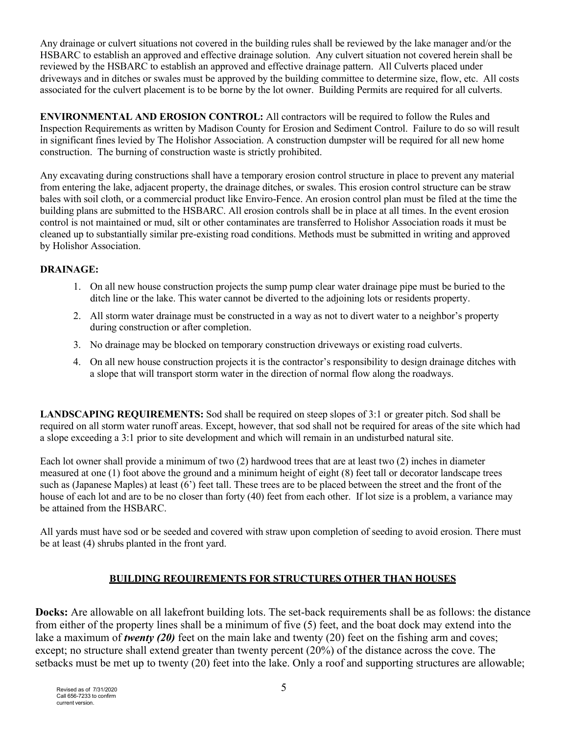Any drainage or culvert situations not covered in the building rules shall be reviewed by the lake manager and/or the HSBARC to establish an approved and effective drainage solution. Any culvert situation not covered herein shall be reviewed by the HSBARC to establish an approved and effective drainage pattern. All Culverts placed under driveways and in ditches or swales must be approved by the building committee to determine size, flow, etc. All costs associated for the culvert placement is to be borne by the lot owner. Building Permits are required for all culverts.

**ENVIRONMENTAL AND EROSION CONTROL:** All contractors will be required to follow the Rules and Inspection Requirements as written by Madison County for Erosion and Sediment Control. Failure to do so will result in significant fines levied by The Holishor Association. A construction dumpster will be required for all new home construction. The burning of construction waste is strictly prohibited.

Any excavating during constructions shall have a temporary erosion control structure in place to prevent any material from entering the lake, adjacent property, the drainage ditches, or swales. This erosion control structure can be straw bales with soil cloth, or a commercial product like Enviro-Fence. An erosion control plan must be filed at the time the building plans are submitted to the HSBARC. All erosion controls shall be in place at all times. In the event erosion control is not maintained or mud, silt or other contaminates are transferred to Holishor Association roads it must be cleaned up to substantially similar pre-existing road conditions. Methods must be submitted in writing and approved by Holishor Association.

# **DRAINAGE:**

- 1. On all new house construction projects the sump pump clear water drainage pipe must be buried to the ditch line or the lake. This water cannot be diverted to the adjoining lots or residents property.
- 2. All storm water drainage must be constructed in a way as not to divert water to a neighbor's property during construction or after completion.
- 3. No drainage may be blocked on temporary construction driveways or existing road culverts.
- 4. On all new house construction projects it is the contractor's responsibility to design drainage ditches with a slope that will transport storm water in the direction of normal flow along the roadways.

**LANDSCAPING REQUIREMENTS:** Sod shall be required on steep slopes of 3:1 or greater pitch. Sod shall be required on all storm water runoff areas. Except, however, that sod shall not be required for areas of the site which had a slope exceeding a 3:1 prior to site development and which will remain in an undisturbed natural site.

Each lot owner shall provide a minimum of two (2) hardwood trees that are at least two (2) inches in diameter measured at one (1) foot above the ground and a minimum height of eight (8) feet tall or decorator landscape trees such as (Japanese Maples) at least (6') feet tall. These trees are to be placed between the street and the front of the house of each lot and are to be no closer than forty (40) feet from each other. If lot size is a problem, a variance may be attained from the HSBARC.

All yards must have sod or be seeded and covered with straw upon completion of seeding to avoid erosion. There must be at least (4) shrubs planted in the front yard.

# **BUILDING REQUIREMENTS FOR STRUCTURES OTHER THAN HOUSES**

**Docks:** Are allowable on all lakefront building lots. The set-back requirements shall be as follows: the distance from either of the property lines shall be a minimum of five (5) feet, and the boat dock may extend into the lake a maximum of *twenty (20)* feet on the main lake and twenty (20) feet on the fishing arm and coves; except; no structure shall extend greater than twenty percent (20%) of the distance across the cove. The setbacks must be met up to twenty (20) feet into the lake. Only a roof and supporting structures are allowable;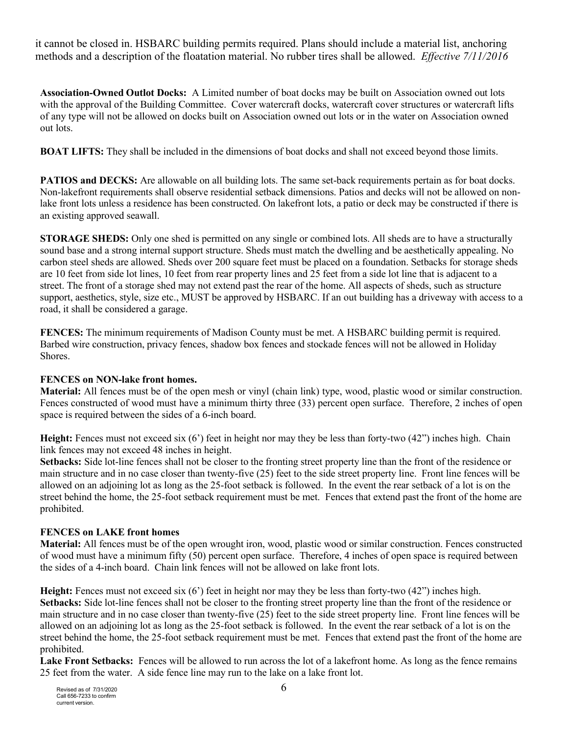it cannot be closed in. HSBARC building permits required. Plans should include a material list, anchoring methods and a description of the floatation material. No rubber tires shall be allowed. *Effective 7/11/2016*

**Association-Owned Outlot Docks:** A Limited number of boat docks may be built on Association owned out lots with the approval of the Building Committee. Cover watercraft docks, watercraft cover structures or watercraft lifts of any type will not be allowed on docks built on Association owned out lots or in the water on Association owned out lots.

**BOAT LIFTS:** They shall be included in the dimensions of boat docks and shall not exceed beyond those limits.

**PATIOS and DECKS:** Are allowable on all building lots. The same set-back requirements pertain as for boat docks. Non-lakefront requirements shall observe residential setback dimensions. Patios and decks will not be allowed on nonlake front lots unless a residence has been constructed. On lakefront lots, a patio or deck may be constructed if there is an existing approved seawall.

**STORAGE SHEDS:** Only one shed is permitted on any single or combined lots. All sheds are to have a structurally sound base and a strong internal support structure. Sheds must match the dwelling and be aesthetically appealing. No carbon steel sheds are allowed. Sheds over 200 square feet must be placed on a foundation. Setbacks for storage sheds are 10 feet from side lot lines, 10 feet from rear property lines and 25 feet from a side lot line that is adjacent to a street. The front of a storage shed may not extend past the rear of the home. All aspects of sheds, such as structure support, aesthetics, style, size etc., MUST be approved by HSBARC. If an out building has a driveway with access to a road, it shall be considered a garage.

**FENCES:** The minimum requirements of Madison County must be met. A HSBARC building permit is required. Barbed wire construction, privacy fences, shadow box fences and stockade fences will not be allowed in Holiday Shores.

## **FENCES on NON-lake front homes.**

**Material:** All fences must be of the open mesh or vinyl (chain link) type, wood, plastic wood or similar construction. Fences constructed of wood must have a minimum thirty three (33) percent open surface. Therefore, 2 inches of open space is required between the sides of a 6-inch board.

**Height:** Fences must not exceed six (6') feet in height nor may they be less than forty-two (42") inches high. Chain link fences may not exceed 48 inches in height.

**Setbacks:** Side lot-line fences shall not be closer to the fronting street property line than the front of the residence or main structure and in no case closer than twenty-five (25) feet to the side street property line. Front line fences will be allowed on an adjoining lot as long as the 25-foot setback is followed. In the event the rear setback of a lot is on the street behind the home, the 25-foot setback requirement must be met. Fences that extend past the front of the home are prohibited.

#### **FENCES on LAKE front homes**

**Material:** All fences must be of the open wrought iron, wood, plastic wood or similar construction. Fences constructed of wood must have a minimum fifty (50) percent open surface. Therefore, 4 inches of open space is required between the sides of a 4-inch board. Chain link fences will not be allowed on lake front lots.

**Height:** Fences must not exceed six (6') feet in height nor may they be less than forty-two (42") inches high. **Setbacks:** Side lot-line fences shall not be closer to the fronting street property line than the front of the residence or main structure and in no case closer than twenty-five (25) feet to the side street property line. Front line fences will be allowed on an adjoining lot as long as the 25-foot setback is followed. In the event the rear setback of a lot is on the street behind the home, the 25-foot setback requirement must be met. Fences that extend past the front of the home are prohibited.

**Lake Front Setbacks:** Fences will be allowed to run across the lot of a lakefront home. As long as the fence remains 25 feet from the water. A side fence line may run to the lake on a lake front lot.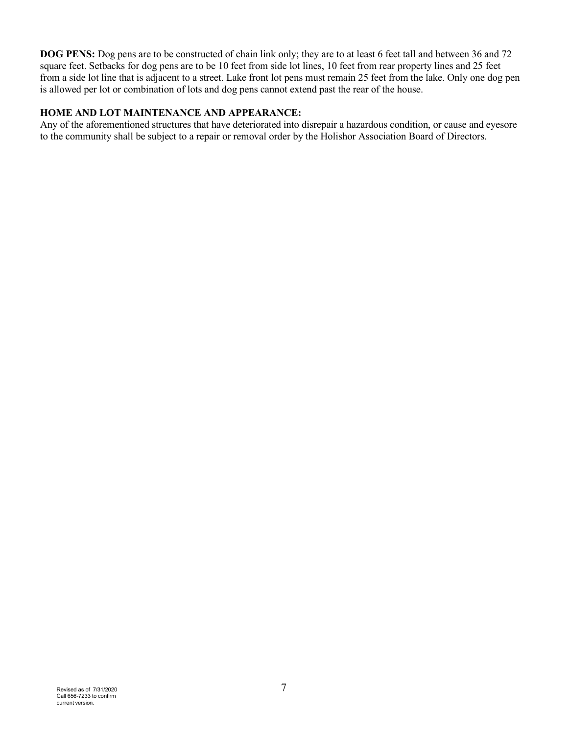**DOG PENS:** Dog pens are to be constructed of chain link only; they are to at least 6 feet tall and between 36 and 72 square feet. Setbacks for dog pens are to be 10 feet from side lot lines, 10 feet from rear property lines and 25 feet from a side lot line that is adjacent to a street. Lake front lot pens must remain 25 feet from the lake. Only one dog pen is allowed per lot or combination of lots and dog pens cannot extend past the rear of the house.

#### **HOME AND LOT MAINTENANCE AND APPEARANCE:**

Any of the aforementioned structures that have deteriorated into disrepair a hazardous condition, or cause and eyesore to the community shall be subject to a repair or removal order by the Holishor Association Board of Directors.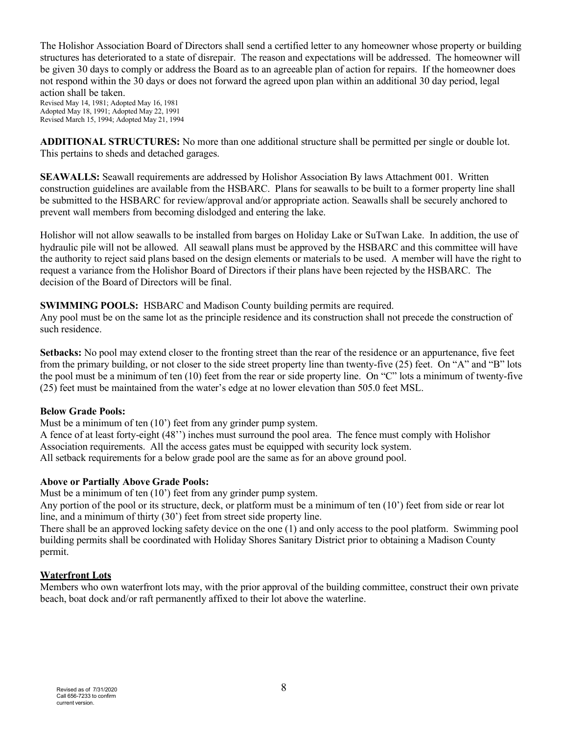The Holishor Association Board of Directors shall send a certified letter to any homeowner whose property or building structures has deteriorated to a state of disrepair. The reason and expectations will be addressed. The homeowner will be given 30 days to comply or address the Board as to an agreeable plan of action for repairs. If the homeowner does not respond within the 30 days or does not forward the agreed upon plan within an additional 30 day period, legal action shall be taken.

Revised May 14, 1981; Adopted May 16, 1981 Adopted May 18, 1991; Adopted May 22, 1991 Revised March 15, 1994; Adopted May 21, 1994

**ADDITIONAL STRUCTURES:** No more than one additional structure shall be permitted per single or double lot. This pertains to sheds and detached garages.

**SEAWALLS:** Seawall requirements are addressed by Holishor Association By laws Attachment 001. Written construction guidelines are available from the HSBARC. Plans for seawalls to be built to a former property line shall be submitted to the HSBARC for review/approval and/or appropriate action. Seawalls shall be securely anchored to prevent wall members from becoming dislodged and entering the lake.

Holishor will not allow seawalls to be installed from barges on Holiday Lake or SuTwan Lake. In addition, the use of hydraulic pile will not be allowed. All seawall plans must be approved by the HSBARC and this committee will have the authority to reject said plans based on the design elements or materials to be used. A member will have the right to request a variance from the Holishor Board of Directors if their plans have been rejected by the HSBARC. The decision of the Board of Directors will be final.

**SWIMMING POOLS:** HSBARC and Madison County building permits are required.

Any pool must be on the same lot as the principle residence and its construction shall not precede the construction of such residence.

**Setbacks:** No pool may extend closer to the fronting street than the rear of the residence or an appurtenance, five feet from the primary building, or not closer to the side street property line than twenty-five (25) feet. On "A" and "B" lots the pool must be a minimum of ten (10) feet from the rear or side property line. On "C" lots a minimum of twenty-five (25) feet must be maintained from the water's edge at no lower elevation than 505.0 feet MSL.

## **Below Grade Pools:**

Must be a minimum of ten (10') feet from any grinder pump system.

A fence of at least forty-eight (48'') inches must surround the pool area. The fence must comply with Holishor Association requirements. All the access gates must be equipped with security lock system. All setback requirements for a below grade pool are the same as for an above ground pool.

## **Above or Partially Above Grade Pools:**

Must be a minimum of ten (10') feet from any grinder pump system.

Any portion of the pool or its structure, deck, or platform must be a minimum of ten (10') feet from side or rear lot line, and a minimum of thirty (30') feet from street side property line.

There shall be an approved locking safety device on the one (1) and only access to the pool platform. Swimming pool building permits shall be coordinated with Holiday Shores Sanitary District prior to obtaining a Madison County permit.

# **Waterfront Lots**

Members who own waterfront lots may, with the prior approval of the building committee, construct their own private beach, boat dock and/or raft permanently affixed to their lot above the waterline.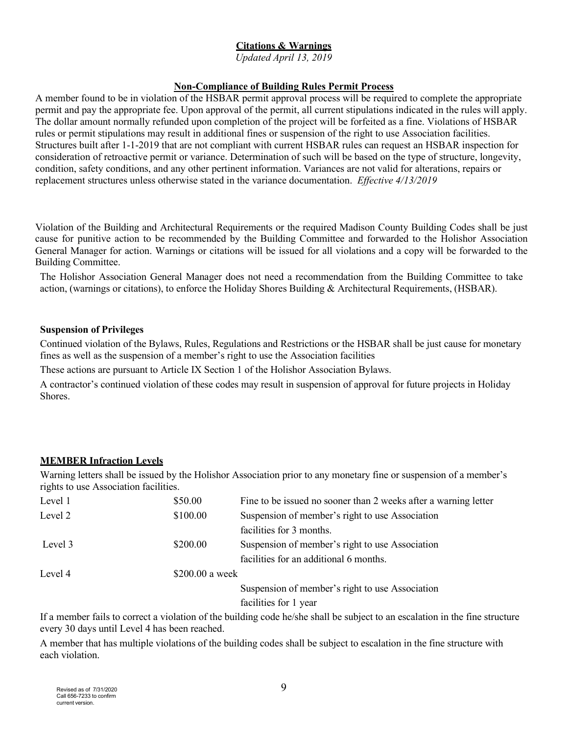# **Citations & Warnings**

*Updated April 13, 2019*

#### **Non-Compliance of Building Rules Permit Process**

A member found to be in violation of the HSBAR permit approval process will be required to complete the appropriate permit and pay the appropriate fee. Upon approval of the permit, all current stipulations indicated in the rules will apply. The dollar amount normally refunded upon completion of the project will be forfeited as a fine. Violations of HSBAR rules or permit stipulations may result in additional fines or suspension of the right to use Association facilities. Structures built after 1-1-2019 that are not compliant with current HSBAR rules can request an HSBAR inspection for consideration of retroactive permit or variance. Determination of such will be based on the type of structure, longevity, condition, safety conditions, and any other pertinent information. Variances are not valid for alterations, repairs or replacement structures unless otherwise stated in the variance documentation. *Effective 4/13/2019*

Violation of the Building and Architectural Requirements or the required Madison County Building Codes shall be just cause for punitive action to be recommended by the Building Committee and forwarded to the Holishor Association General Manager for action. Warnings or citations will be issued for all violations and a copy will be forwarded to the Building Committee.

The Holishor Association General Manager does not need a recommendation from the Building Committee to take action, (warnings or citations), to enforce the Holiday Shores Building & Architectural Requirements, (HSBAR).

#### **Suspension of Privileges**

Continued violation of the Bylaws, Rules, Regulations and Restrictions or the HSBAR shall be just cause for monetary fines as well as the suspension of a member's right to use the Association facilities

These actions are pursuant to Article IX Section 1 of the Holishor Association Bylaws.

A contractor's continued violation of these codes may result in suspension of approval for future projects in Holiday Shores.

#### **MEMBER Infraction Levels**

Warning letters shall be issued by the Holishor Association prior to any monetary fine or suspension of a member's rights to use Association facilities.

| Level 1 | \$50.00         | Fine to be issued no sooner than 2 weeks after a warning letter |
|---------|-----------------|-----------------------------------------------------------------|
| Level 2 | \$100.00        | Suspension of member's right to use Association                 |
|         |                 | facilities for 3 months.                                        |
| Level 3 | \$200.00        | Suspension of member's right to use Association                 |
|         |                 | facilities for an additional 6 months.                          |
| Level 4 | \$200.00 a week |                                                                 |
|         |                 | Suspension of member's right to use Association                 |

facilities for 1 year

If a member fails to correct a violation of the building code he/she shall be subject to an escalation in the fine structure every 30 days until Level 4 has been reached.

A member that has multiple violations of the building codes shall be subject to escalation in the fine structure with each violation.